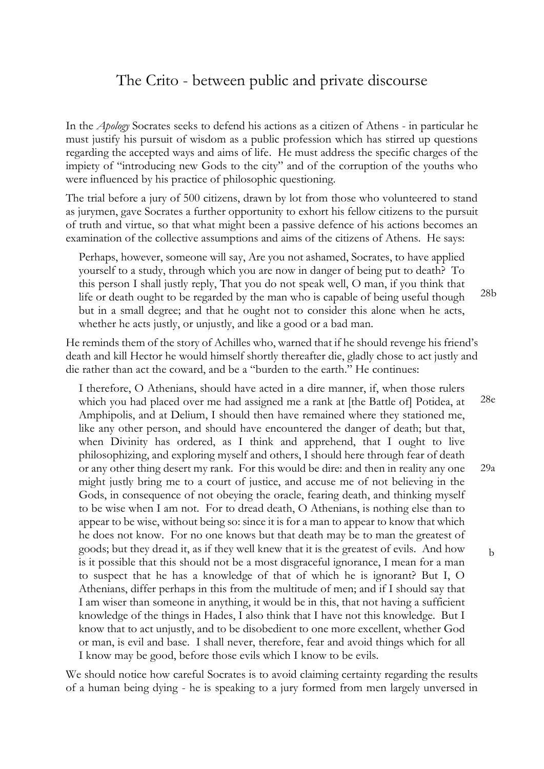## The Crito - between public and private discourse

In the *Apology* Socrates seeks to defend his actions as a citizen of Athens - in particular he must justify his pursuit of wisdom as a public profession which has stirred up questions regarding the accepted ways and aims of life. He must address the specific charges of the impiety of "introducing new Gods to the city" and of the corruption of the youths who were influenced by his practice of philosophic questioning.

The trial before a jury of 500 citizens, drawn by lot from those who volunteered to stand as jurymen, gave Socrates a further opportunity to exhort his fellow citizens to the pursuit of truth and virtue, so that what might been a passive defence of his actions becomes an examination of the collective assumptions and aims of the citizens of Athens. He says:

Perhaps, however, someone will say, Are you not ashamed, Socrates, to have applied yourself to a study, through which you are now in danger of being put to death? To this person I shall justly reply, That you do not speak well, O man, if you think that life or death ought to be regarded by the man who is capable of being useful though but in a small degree; and that he ought not to consider this alone when he acts, whether he acts justly, or unjustly, and like a good or a bad man. 28b

He reminds them of the story of Achilles who, warned that if he should revenge his friend's death and kill Hector he would himself shortly thereafter die, gladly chose to act justly and die rather than act the coward, and be a "burden to the earth." He continues:

I therefore, O Athenians, should have acted in a dire manner, if, when those rulers which you had placed over me had assigned me a rank at [the Battle of] Potidea, at Amphipolis, and at Delium, I should then have remained where they stationed me, like any other person, and should have encountered the danger of death; but that, when Divinity has ordered, as I think and apprehend, that I ought to live philosophizing, and exploring myself and others, I should here through fear of death or any other thing desert my rank. For this would be dire: and then in reality any one might justly bring me to a court of justice, and accuse me of not believing in the Gods, in consequence of not obeying the oracle, fearing death, and thinking myself to be wise when I am not. For to dread death, O Athenians, is nothing else than to appear to be wise, without being so: since it is for a man to appear to know that which he does not know. For no one knows but that death may be to man the greatest of goods; but they dread it, as if they well knew that it is the greatest of evils. And how is it possible that this should not be a most disgraceful ignorance, I mean for a man to suspect that he has a knowledge of that of which he is ignorant? But I, O Athenians, differ perhaps in this from the multitude of men; and if I should say that I am wiser than someone in anything, it would be in this, that not having a sufficient knowledge of the things in Hades, I also think that I have not this knowledge. But I know that to act unjustly, and to be disobedient to one more excellent, whether God or man, is evil and base. I shall never, therefore, fear and avoid things which for all I know may be good, before those evils which I know to be evils. 28e 29a b

We should notice how careful Socrates is to avoid claiming certainty regarding the results of a human being dying - he is speaking to a jury formed from men largely unversed in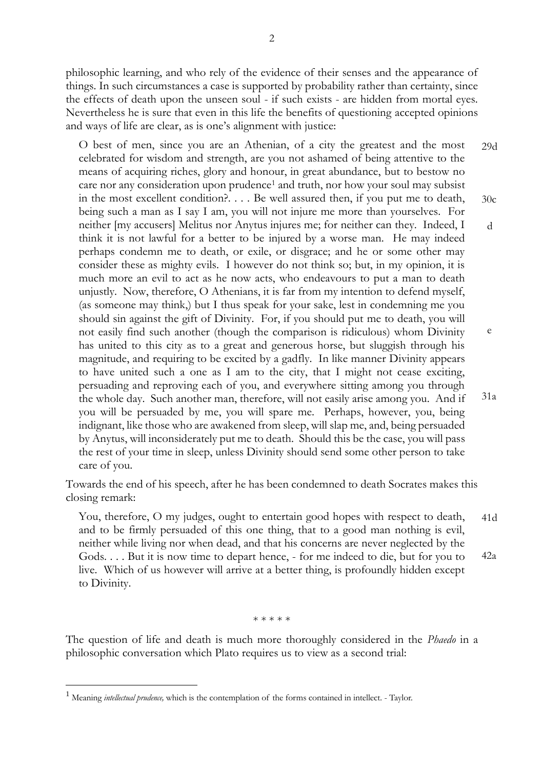philosophic learning, and who rely of the evidence of their senses and the appearance of things. In such circumstances a case is supported by probability rather than certainty, since the effects of death upon the unseen soul - if such exists - are hidden from mortal eyes. Nevertheless he is sure that even in this life the benefits of questioning accepted opinions and ways of life are clear, as is one's alignment with justice:

O best of men, since you are an Athenian, of a city the greatest and the most celebrated for wisdom and strength, are you not ashamed of being attentive to the means of acquiring riches, glory and honour, in great abundance, but to bestow no care nor any consideration upon prudence<sup>1</sup> and truth, nor how your soul may subsist in the most excellent condition?. . . . Be well assured then, if you put me to death, being such a man as I say I am, you will not injure me more than yourselves. For neither [my accusers] Melitus nor Anytus injures me; for neither can they. Indeed, I think it is not lawful for a better to be injured by a worse man. He may indeed perhaps condemn me to death, or exile, or disgrace; and he or some other may consider these as mighty evils. I however do not think so; but, in my opinion, it is much more an evil to act as he now acts, who endeavours to put a man to death unjustly. Now, therefore, O Athenians, it is far from my intention to defend myself, (as someone may think,) but I thus speak for your sake, lest in condemning me you should sin against the gift of Divinity. For, if you should put me to death, you will not easily find such another (though the comparison is ridiculous) whom Divinity has united to this city as to a great and generous horse, but sluggish through his magnitude, and requiring to be excited by a gadfly. In like manner Divinity appears to have united such a one as I am to the city, that I might not cease exciting, persuading and reproving each of you, and everywhere sitting among you through the whole day. Such another man, therefore, will not easily arise among you. And if you will be persuaded by me, you will spare me. Perhaps, however, you, being indignant, like those who are awakened from sleep, will slap me, and, being persuaded by Anytus, will inconsiderately put me to death. Should this be the case, you will pass the rest of your time in sleep, unless Divinity should send some other person to take care of you. 29d 30c d e 31a

Towards the end of his speech, after he has been condemned to death Socrates makes this closing remark:

You, therefore, O my judges, ought to entertain good hopes with respect to death, and to be firmly persuaded of this one thing, that to a good man nothing is evil, neither while living nor when dead, and that his concerns are never neglected by the Gods. . . . But it is now time to depart hence, - for me indeed to die, but for you to live. Which of us however will arrive at a better thing, is profoundly hidden except to Divinity. 41d 42a

\* \* \* \* \*

The question of life and death is much more thoroughly considered in the *Phaedo* in a philosophic conversation which Plato requires us to view as a second trial:

<u>.</u>

<sup>1</sup> Meaning *intellectual prudence,* which is the contemplation of the forms contained in intellect. - Taylor.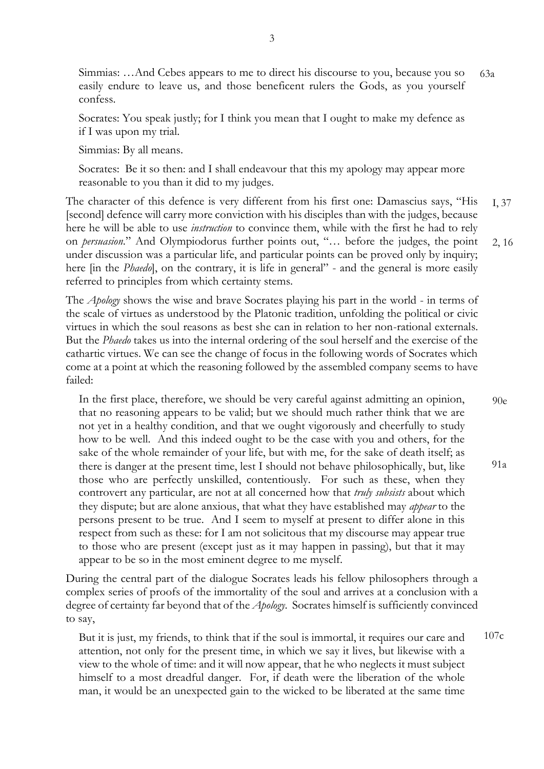Simmias: …And Cebes appears to me to direct his discourse to you, because you so easily endure to leave us, and those beneficent rulers the Gods, as you yourself confess. 63a

Socrates: You speak justly; for I think you mean that I ought to make my defence as if I was upon my trial.

Simmias: By all means.

Socrates: Be it so then: and I shall endeavour that this my apology may appear more reasonable to you than it did to my judges.

The character of this defence is very different from his first one: Damascius says, "His [second] defence will carry more conviction with his disciples than with the judges, because here he will be able to use *instruction* to convince them, while with the first he had to rely on *persuasion*." And Olympiodorus further points out, "… before the judges, the point under discussion was a particular life, and particular points can be proved only by inquiry; here [in the *Phaedo*], on the contrary, it is life in general" - and the general is more easily referred to principles from which certainty stems. 2, 16 I, 37

The *Apology* shows the wise and brave Socrates playing his part in the world - in terms of the scale of virtues as understood by the Platonic tradition, unfolding the political or civic virtues in which the soul reasons as best she can in relation to her non-rational externals. But the *Phaedo* takes us into the internal ordering of the soul herself and the exercise of the cathartic virtues. We can see the change of focus in the following words of Socrates which come at a point at which the reasoning followed by the assembled company seems to have failed:

In the first place, therefore, we should be very careful against admitting an opinion, that no reasoning appears to be valid; but we should much rather think that we are not yet in a healthy condition, and that we ought vigorously and cheerfully to study how to be well. And this indeed ought to be the case with you and others, for the sake of the whole remainder of your life, but with me, for the sake of death itself; as there is danger at the present time, lest I should not behave philosophically, but, like those who are perfectly unskilled, contentiously. For such as these, when they controvert any particular, are not at all concerned how that *truly subsists* about which they dispute; but are alone anxious, that what they have established may *appear* to the persons present to be true. And I seem to myself at present to differ alone in this respect from such as these: for I am not solicitous that my discourse may appear true to those who are present (except just as it may happen in passing), but that it may appear to be so in the most eminent degree to me myself. 90e 91a

During the central part of the dialogue Socrates leads his fellow philosophers through a complex series of proofs of the immortality of the soul and arrives at a conclusion with a degree of certainty far beyond that of the *Apology*. Socrates himself is sufficiently convinced to say,

But it is just, my friends, to think that if the soul is immortal, it requires our care and attention, not only for the present time, in which we say it lives, but likewise with a view to the whole of time: and it will now appear, that he who neglects it must subject himself to a most dreadful danger. For, if death were the liberation of the whole man, it would be an unexpected gain to the wicked to be liberated at the same time 107c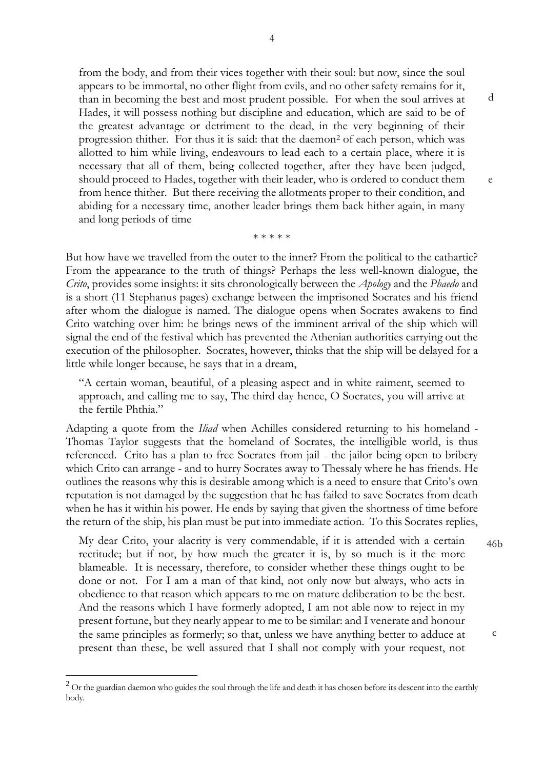from the body, and from their vices together with their soul: but now, since the soul appears to be immortal, no other flight from evils, and no other safety remains for it, than in becoming the best and most prudent possible. For when the soul arrives at Hades, it will possess nothing but discipline and education, which are said to be of the greatest advantage or detriment to the dead, in the very beginning of their progression thither. For thus it is said: that the daemon<sup>2</sup> of each person, which was allotted to him while living, endeavours to lead each to a certain place, where it is necessary that all of them, being collected together, after they have been judged, should proceed to Hades, together with their leader, who is ordered to conduct them from hence thither. But there receiving the allotments proper to their condition, and abiding for a necessary time, another leader brings them back hither again, in many and long periods of time

But how have we travelled from the outer to the inner? From the political to the cathartic? From the appearance to the truth of things? Perhaps the less well-known dialogue, the *Crito*, provides some insights: it sits chronologically between the *Apology* and the *Phaedo* and is a short (11 Stephanus pages) exchange between the imprisoned Socrates and his friend after whom the dialogue is named. The dialogue opens when Socrates awakens to find Crito watching over him: he brings news of the imminent arrival of the ship which will signal the end of the festival which has prevented the Athenian authorities carrying out the execution of the philosopher. Socrates, however, thinks that the ship will be delayed for a little while longer because, he says that in a dream,

\* \* \* \* \*

"A certain woman, beautiful, of a pleasing aspect and in white raiment, seemed to approach, and calling me to say, The third day hence, O Socrates, you will arrive at the fertile Phthia."

Adapting a quote from the *Iliad* when Achilles considered returning to his homeland - Thomas Taylor suggests that the homeland of Socrates, the intelligible world, is thus referenced. Crito has a plan to free Socrates from jail - the jailor being open to bribery which Crito can arrange - and to hurry Socrates away to Thessaly where he has friends. He outlines the reasons why this is desirable among which is a need to ensure that Crito's own reputation is not damaged by the suggestion that he has failed to save Socrates from death when he has it within his power. He ends by saying that given the shortness of time before the return of the ship, his plan must be put into immediate action. To this Socrates replies,

My dear Crito, your alacrity is very commendable, if it is attended with a certain rectitude; but if not, by how much the greater it is, by so much is it the more blameable. It is necessary, therefore, to consider whether these things ought to be done or not. For I am a man of that kind, not only now but always, who acts in obedience to that reason which appears to me on mature deliberation to be the best. And the reasons which I have formerly adopted, I am not able now to reject in my present fortune, but they nearly appear to me to be similar: and I venerate and honour the same principles as formerly; so that, unless we have anything better to adduce at present than these, be well assured that I shall not comply with your request, not

<u>.</u>

46b

c

d

e

 $2$  Or the guardian daemon who guides the soul through the life and death it has chosen before its descent into the earthly body.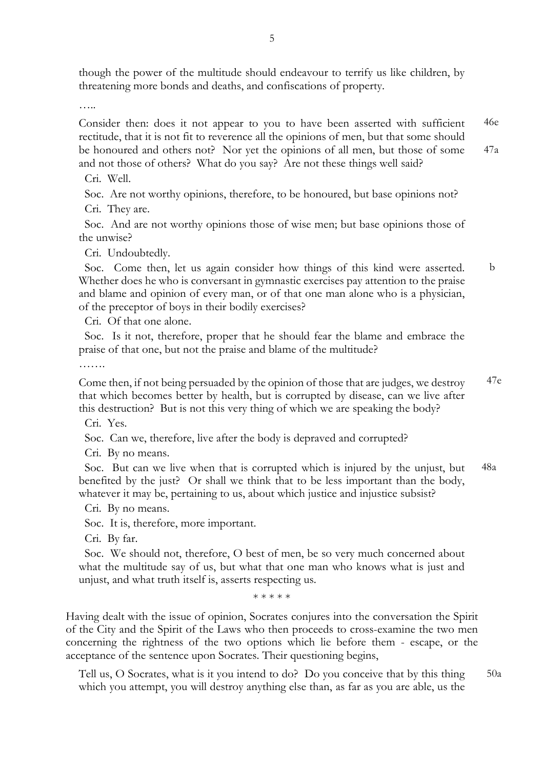though the power of the multitude should endeavour to terrify us like children, by threatening more bonds and deaths, and confiscations of property.

…

Consider then: does it not appear to you to have been asserted with sufficient rectitude, that it is not fit to reverence all the opinions of men, but that some should be honoured and others not? Nor yet the opinions of all men, but those of some and not those of others? What do you say? Are not these things well said? 46e 47a

Cri. Well.

Soc. Are not worthy opinions, therefore, to be honoured, but base opinions not?

Cri. They are.

 Soc. And are not worthy opinions those of wise men; but base opinions those of the unwise?

Cri. Undoubtedly.

 Soc. Come then, let us again consider how things of this kind were asserted. Whether does he who is conversant in gymnastic exercises pay attention to the praise and blame and opinion of every man, or of that one man alone who is a physician, of the preceptor of boys in their bodily exercises? b

Cri. Of that one alone.

 Soc. Is it not, therefore, proper that he should fear the blame and embrace the praise of that one, but not the praise and blame of the multitude?

…….

Come then, if not being persuaded by the opinion of those that are judges, we destroy that which becomes better by health, but is corrupted by disease, can we live after this destruction? But is not this very thing of which we are speaking the body? 47e

Cri. Yes.

Soc. Can we, therefore, live after the body is depraved and corrupted?

Cri. By no means.

 Soc. But can we live when that is corrupted which is injured by the unjust, but benefited by the just? Or shall we think that to be less important than the body, whatever it may be, pertaining to us, about which justice and injustice subsist? 48a

Cri. By no means.

Soc. It is, therefore, more important.

Cri. By far.

 Soc. We should not, therefore, O best of men, be so very much concerned about what the multitude say of us, but what that one man who knows what is just and unjust, and what truth itself is, asserts respecting us.

\* \* \* \* \*

Having dealt with the issue of opinion, Socrates conjures into the conversation the Spirit of the City and the Spirit of the Laws who then proceeds to cross-examine the two men concerning the rightness of the two options which lie before them - escape, or the acceptance of the sentence upon Socrates. Their questioning begins,

Tell us, O Socrates, what is it you intend to do? Do you conceive that by this thing which you attempt, you will destroy anything else than, as far as you are able, us the 50a